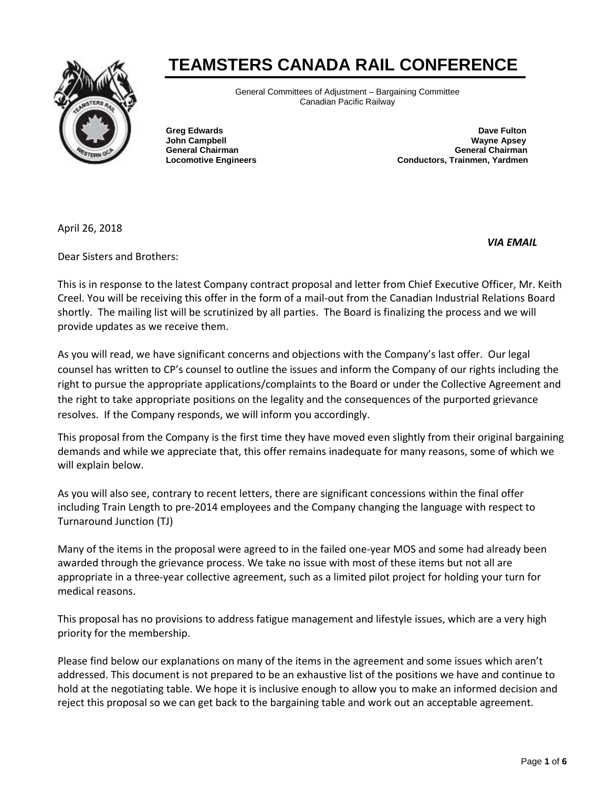# **TEAMSTERS CANADA RAIL CONFERENCE**



General Committees of Adjustment – Bargaining Committee Canadian Pacific Railway

**Greg Edwards Dave Fulton Dave Fulton Dave Fulton John Campbell Wayne Apsey General Chairman General Chairman Locomotive Engineers Conductors, Trainmen, Yardmen**

April 26, 2018

*VIA EMAIL* 

Dear Sisters and Brothers:

This is in response to the latest Company contract proposal and letter from Chief Executive Officer, Mr. Keith Creel. You will be receiving this offer in the form of a mail-out from the Canadian Industrial Relations Board shortly. The mailing list will be scrutinized by all parties. The Board is finalizing the process and we will provide updates as we receive them.

As you will read, we have significant concerns and objections with the Company's last offer. Our legal counsel has written to CP's counsel to outline the issues and inform the Company of our rights including the right to pursue the appropriate applications/complaints to the Board or under the Collective Agreement and the right to take appropriate positions on the legality and the consequences of the purported grievance resolves. If the Company responds, we will inform you accordingly.

This proposal from the Company is the first time they have moved even slightly from their original bargaining demands and while we appreciate that, this offer remains inadequate for many reasons, some of which we will explain below.

As you will also see, contrary to recent letters, there are significant concessions within the final offer including Train Length to pre-2014 employees and the Company changing the language with respect to Turnaround Junction (TJ)

Many of the items in the proposal were agreed to in the failed one-year MOS and some had already been awarded through the grievance process. We take no issue with most of these items but not all are appropriate in a three-year collective agreement, such as a limited pilot project for holding your turn for medical reasons.

This proposal has no provisions to address fatigue management and lifestyle issues, which are a very high priority for the membership.

Please find below our explanations on many of the items in the agreement and some issues which aren't addressed. This document is not prepared to be an exhaustive list of the positions we have and continue to hold at the negotiating table. We hope it is inclusive enough to allow you to make an informed decision and reject this proposal so we can get back to the bargaining table and work out an acceptable agreement.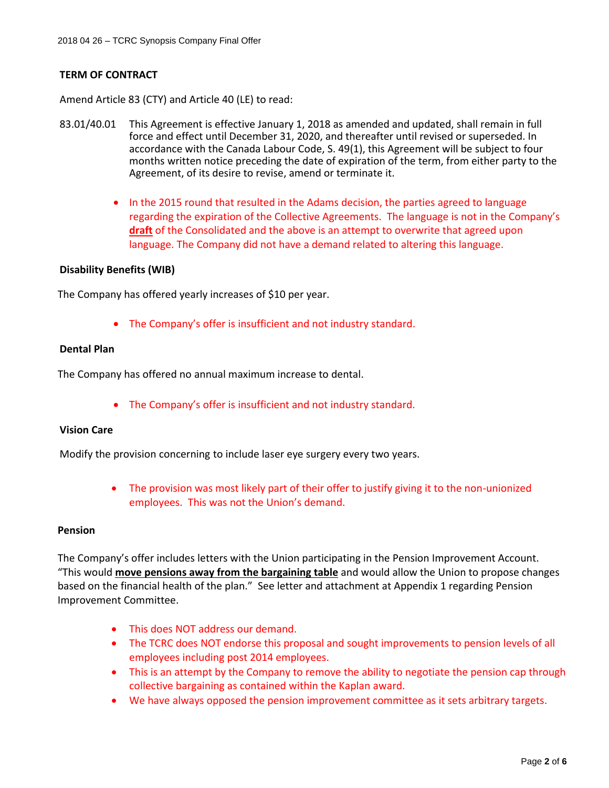## **TERM OF CONTRACT**

Amend Article 83 (CTY) and Article 40 (LE) to read:

- 83.01/40.01 This Agreement is effective January 1, 2018 as amended and updated, shall remain in full force and effect until December 31, 2020, and thereafter until revised or superseded. In accordance with the Canada Labour Code, S. 49(1), this Agreement will be subject to four months written notice preceding the date of expiration of the term, from either party to the Agreement, of its desire to revise, amend or terminate it.
	- In the 2015 round that resulted in the Adams decision, the parties agreed to language regarding the expiration of the Collective Agreements. The language is not in the Company's **draft** of the Consolidated and the above is an attempt to overwrite that agreed upon language. The Company did not have a demand related to altering this language.

#### **Disability Benefits (WIB)**

The Company has offered yearly increases of \$10 per year.

The Company's offer is insufficient and not industry standard.

#### **Dental Plan**

The Company has offered no annual maximum increase to dental.

The Company's offer is insufficient and not industry standard.

# **Vision Care**

Modify the provision concerning to include laser eye surgery every two years.

• The provision was most likely part of their offer to justify giving it to the non-unionized employees. This was not the Union's demand.

#### **Pension**

The Company's offer includes letters with the Union participating in the Pension Improvement Account. "This would **move pensions away from the bargaining table** and would allow the Union to propose changes based on the financial health of the plan." See letter and attachment at Appendix 1 regarding Pension Improvement Committee.

- This does NOT address our demand.
- The TCRC does NOT endorse this proposal and sought improvements to pension levels of all employees including post 2014 employees.
- This is an attempt by the Company to remove the ability to negotiate the pension cap through collective bargaining as contained within the Kaplan award.
- We have always opposed the pension improvement committee as it sets arbitrary targets.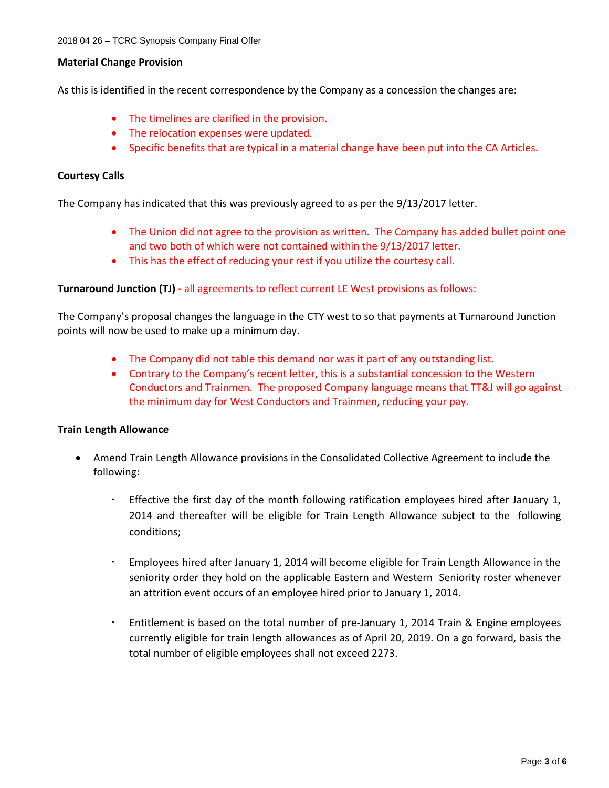#### **Material Change Provision**

As this is identified in the recent correspondence by the Company as a concession the changes are:

- The timelines are clarified in the provision.
- The relocation expenses were updated.
- Specific benefits that are typical in a material change have been put into the CA Articles.

### **Courtesy Calls**

The Company has indicated that this was previously agreed to as per the 9/13/2017 letter.

- The Union did not agree to the provision as written. The Company has added bullet point one and two both of which were not contained within the 9/13/2017 letter.
- This has the effect of reducing your rest if you utilize the courtesy call.

## **Turnaround Junction (TJ) -** all agreements to reflect current LE West provisions as follows:

The Company's proposal changes the language in the CTY west to so that payments at Turnaround Junction points will now be used to make up a minimum day.

- The Company did not table this demand nor was it part of any outstanding list.
- Contrary to the Company's recent letter, this is a substantial concession to the Western Conductors and Trainmen. The proposed Company language means that TT&J will go against the minimum day for West Conductors and Trainmen, reducing your pay.

#### **Train Length Allowance**

- Amend Train Length Allowance provisions in the Consolidated Collective Agreement to include the following:
	- Effective the first day of the month following ratification employees hired after January 1, 2014 and thereafter will be eligible for Train Length Allowance subject to the following conditions;
	- Employees hired after January 1, 2014 will become eligible for Train Length Allowance in the seniority order they hold on the applicable Eastern and Western Seniority roster whenever an attrition event occurs of an employee hired prior to January 1, 2014.
	- Entitlement is based on the total number of pre-January 1, 2014 Train & Engine employees currently eligible for train length allowances as of April 20, 2019. On a go forward, basis the total number of eligible employees shall not exceed 2273.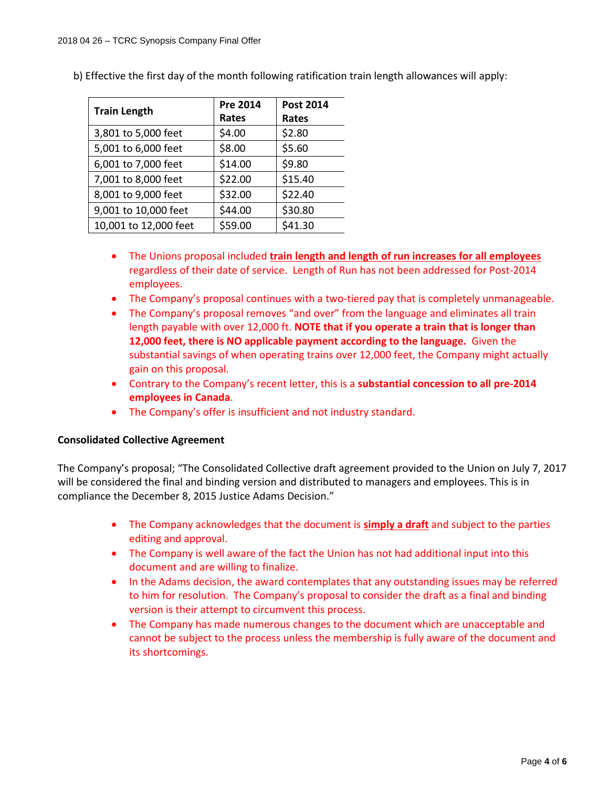| <b>Train Length</b>   | Pre 2014 | Post 2014 |
|-----------------------|----------|-----------|
|                       | Rates    | Rates     |
| 3,801 to 5,000 feet   | \$4.00   | \$2.80    |
| 5,001 to 6,000 feet   | \$8.00   | \$5.60    |
| 6,001 to 7,000 feet   | \$14.00  | \$9.80    |
| 7,001 to 8,000 feet   | \$22.00  | \$15.40   |
| 8,001 to 9,000 feet   | \$32.00  | \$22.40   |
| 9,001 to 10,000 feet  | \$44.00  | \$30.80   |
| 10,001 to 12,000 feet | \$59.00  | \$41.30   |

b) Effective the first day of the month following ratification train length allowances will apply:

- The Unions proposal included **train length and length of run increases for all employees** regardless of their date of service. Length of Run has not been addressed for Post-2014 employees.
- The Company's proposal continues with a two-tiered pay that is completely unmanageable.
- The Company's proposal removes "and over" from the language and eliminates all train length payable with over 12,000 ft. **NOTE that if you operate a train that is longer than 12,000 feet, there is NO applicable payment according to the language.** Given the substantial savings of when operating trains over 12,000 feet, the Company might actually gain on this proposal.
- Contrary to the Company's recent letter, this is a **substantial concession to all pre-2014 employees in Canada**.
- The Company's offer is insufficient and not industry standard.

#### **Consolidated Collective Agreement**

The Company's proposal; "The Consolidated Collective draft agreement provided to the Union on July 7, 2017 will be considered the final and binding version and distributed to managers and employees. This is in compliance the December 8, 2015 Justice Adams Decision."

- The Company acknowledges that the document is **simply a draft** and subject to the parties editing and approval.
- The Company is well aware of the fact the Union has not had additional input into this document and are willing to finalize.
- In the Adams decision, the award contemplates that any outstanding issues may be referred to him for resolution. The Company's proposal to consider the draft as a final and binding version is their attempt to circumvent this process.
- The Company has made numerous changes to the document which are unacceptable and cannot be subject to the process unless the membership is fully aware of the document and its shortcomings.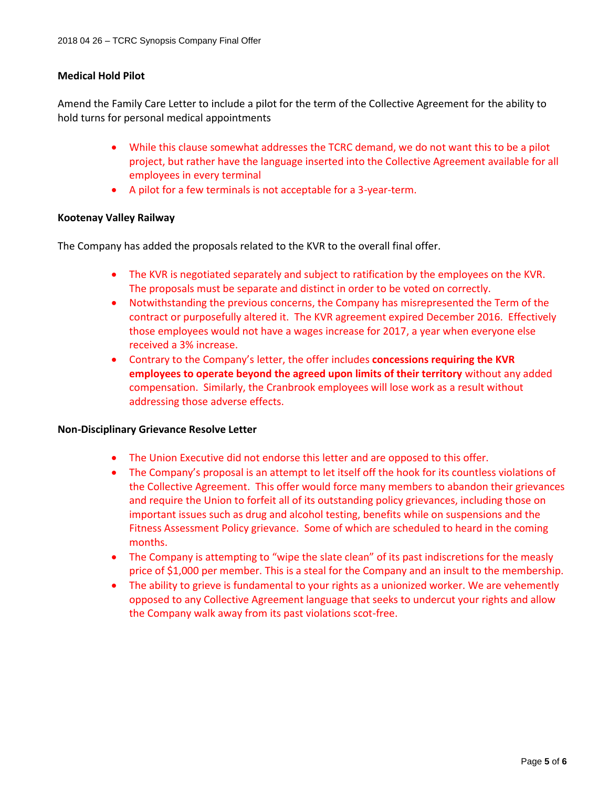# **Medical Hold Pilot**

Amend the Family Care Letter to include a pilot for the term of the Collective Agreement for the ability to hold turns for personal medical appointments

- While this clause somewhat addresses the TCRC demand, we do not want this to be a pilot project, but rather have the language inserted into the Collective Agreement available for all employees in every terminal
- A pilot for a few terminals is not acceptable for a 3-year-term.

#### **Kootenay Valley Railway**

The Company has added the proposals related to the KVR to the overall final offer.

- The KVR is negotiated separately and subject to ratification by the employees on the KVR. The proposals must be separate and distinct in order to be voted on correctly.
- Notwithstanding the previous concerns, the Company has misrepresented the Term of the contract or purposefully altered it. The KVR agreement expired December 2016. Effectively those employees would not have a wages increase for 2017, a year when everyone else received a 3% increase.
- Contrary to the Company's letter, the offer includes **concessions requiring the KVR employees to operate beyond the agreed upon limits of their territory** without any added compensation. Similarly, the Cranbrook employees will lose work as a result without addressing those adverse effects.

#### **Non-Disciplinary Grievance Resolve Letter**

- The Union Executive did not endorse this letter and are opposed to this offer.
- The Company's proposal is an attempt to let itself off the hook for its countless violations of the Collective Agreement. This offer would force many members to abandon their grievances and require the Union to forfeit all of its outstanding policy grievances, including those on important issues such as drug and alcohol testing, benefits while on suspensions and the Fitness Assessment Policy grievance. Some of which are scheduled to heard in the coming months.
- The Company is attempting to "wipe the slate clean" of its past indiscretions for the measly price of \$1,000 per member. This is a steal for the Company and an insult to the membership.
- The ability to grieve is fundamental to your rights as a unionized worker. We are vehemently opposed to any Collective Agreement language that seeks to undercut your rights and allow the Company walk away from its past violations scot-free.